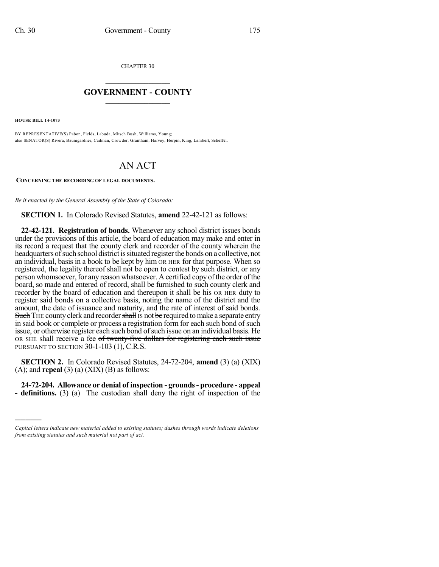CHAPTER 30

## $\overline{\phantom{a}}$  . The set of the set of the set of the set of the set of the set of the set of the set of the set of the set of the set of the set of the set of the set of the set of the set of the set of the set of the set o **GOVERNMENT - COUNTY**  $\_$

**HOUSE BILL 14-1073**

)))))

BY REPRESENTATIVE(S) Pabon, Fields, Labuda, Mitsch Bush, Williams, Young; also SENATOR(S) Rivera, Baumgardner, Cadman, Crowder, Grantham, Harvey, Herpin, King, Lambert, Scheffel.

## AN ACT

**CONCERNING THE RECORDING OF LEGAL DOCUMENTS.**

*Be it enacted by the General Assembly of the State of Colorado:*

**SECTION 1.** In Colorado Revised Statutes, **amend** 22-42-121 as follows:

**22-42-121. Registration of bonds.** Whenever any school district issues bonds under the provisions of this article, the board of education may make and enter in its record a request that the county clerk and recorder of the county wherein the headquarters of such school district is situated register the bonds on a collective, not an individual, basis in a book to be kept by him OR HER for that purpose. When so registered, the legality thereof shall not be open to contest by such district, or any person whomsoever, for any reason whatsoever. A certified copy of the order of the board, so made and entered of record, shall be furnished to such county clerk and recorder by the board of education and thereupon it shall be his OR HER duty to register said bonds on a collective basis, noting the name of the district and the amount, the date of issuance and maturity, and the rate of interest of said bonds. Such THE county clerk and recorder shall IS not be required to make a separate entry in said book or complete or process a registration form for each such bond of such issue, or otherwise register each such bond of such issue on an individual basis. He OR SHE shall receive a fee of twenty-five dollars for registering each such issue PURSUANT TO SECTION 30-1-103 (1), C.R.S.

**SECTION 2.** In Colorado Revised Statutes, 24-72-204, **amend** (3) (a) (XIX)  $(A)$ ; and **repeal**  $(3)$   $(a)$   $(XIX)$   $(B)$  as follows:

**24-72-204. Allowance or denial of inspection - grounds- procedure - appeal - definitions.** (3) (a) The custodian shall deny the right of inspection of the

*Capital letters indicate new material added to existing statutes; dashes through words indicate deletions from existing statutes and such material not part of act.*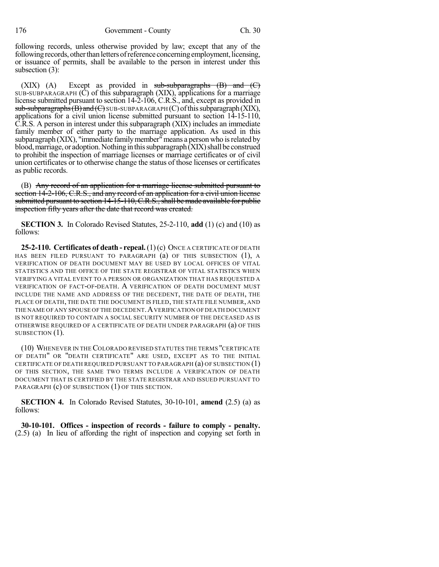following records, unless otherwise provided by law; except that any of the following records, other than letters of reference concerning employment, licensing, or issuance of permits, shall be available to the person in interest under this subsection (3):

 $(XIX)$   $(A)$  Except as provided in sub-subparagraphs  $(B)$  and  $(C)$ SUB-SUBPARAGRAPH (C) of this subparagraph (XIX), applications for a marriage license submitted pursuant to section 14-2-106, C.R.S., and, except as provided in  $sub-sub-<sub>st</sub>$  and  $(E)$  and  $(E)$  SUB-SUBPARAGRAPH  $(C)$  of this subparagraph  $(XIX)$ , applications for a civil union license submitted pursuant to section 14-15-110, C.R.S. A person in interest under this subparagraph (XIX) includes an immediate family member of either party to the marriage application. As used in this subparagraph (XIX), "immediate family member" means a person who is related by blood, marriage, or adoption. Nothing in this subparagraph (XIX) shall be construed to prohibit the inspection of marriage licenses or marriage certificates or of civil union certificates or to otherwise change the status of those licenses or certificates as public records.

(B) Any record of an application for a marriage license submitted pursuant to section 14-2-106, C.R.S., and any record of an application for a civil union license submitted pursuant to section  $14-15-110$ , C.R.S., shall be made available for public inspection fifty years after the date that record was created.

**SECTION 3.** In Colorado Revised Statutes, 25-2-110, **add** (1) (c) and (10) as follows:

**25-2-110. Certificates of death - repeal.**(1)(c) ONCE A CERTIFICATE OF DEATH HAS BEEN FILED PURSUANT TO PARAGRAPH (a) OF THIS SUBSECTION (1), A VERIFICATION OF DEATH DOCUMENT MAY BE USED BY LOCAL OFFICES OF VITAL STATISTICS AND THE OFFICE OF THE STATE REGISTRAR OF VITAL STATISTICS WHEN VERIFYING A VITAL EVENT TO A PERSON OR ORGANIZATION THAT HAS REQUESTED A VERIFICATION OF FACT-OF-DEATH. A VERIFICATION OF DEATH DOCUMENT MUST INCLUDE THE NAME AND ADDRESS OF THE DECEDENT, THE DATE OF DEATH, THE PLACE OF DEATH, THE DATE THE DOCUMENT IS FILED, THE STATE FILE NUMBER, AND THE NAME OF ANY SPOUSE OF THE DECEDENT. A VERIFICATION OF DEATH DOCUMENT IS NOT REQUIRED TO CONTAIN A SOCIAL SECURITY NUMBER OF THE DECEASED AS IS OTHERWISE REQUIRED OF A CERTIFICATE OF DEATH UNDER PARAGRAPH (a) OF THIS SUBSECTION  $(1)$ .

(10) WHENEVER IN THECOLORADO REVISED STATUTES THE TERMS "CERTIFICATE OF DEATH" OR "DEATH CERTIFICATE" ARE USED, EXCEPT AS TO THE INITIAL CERTIFICATE OF DEATH REQUIRED PURSUANT TO PARAGRAPH (a) OF SUBSECTION (1) OF THIS SECTION, THE SAME TWO TERMS INCLUDE A VERIFICATION OF DEATH DOCUMENT THAT IS CERTIFIED BY THE STATE REGISTRAR AND ISSUED PURSUANT TO PARAGRAPH (c) OF SUBSECTION (1) OF THIS SECTION.

**SECTION 4.** In Colorado Revised Statutes, 30-10-101, **amend** (2.5) (a) as follows:

**30-10-101. Offices - inspection of records - failure to comply - penalty.** (2.5) (a) In lieu of affording the right of inspection and copying set forth in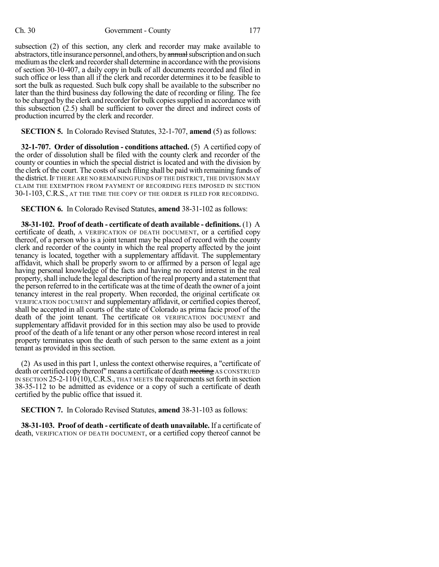subsection (2) of this section, any clerk and recorder may make available to abstractors, title insurance personnel, and others, by annual subscription and on such medium as the clerk and recorder shall determine in accordance with the provisions of section 30-10-407, a daily copy in bulk of all documents recorded and filed in such office or less than all if the clerk and recorder determines it to be feasible to sort the bulk as requested. Such bulk copy shall be available to the subscriber no later than the third business day following the date of recording or filing. The fee to be charged by the clerk and recorder for bulk copiessupplied in accordance with this subsection (2.5) shall be sufficient to cover the direct and indirect costs of production incurred by the clerk and recorder.

**SECTION 5.** In Colorado Revised Statutes, 32-1-707, **amend** (5) as follows:

**32-1-707. Order of dissolution - conditions attached.** (5) A certified copy of the order of dissolution shall be filed with the county clerk and recorder of the county or counties in which the special district is located and with the division by the clerk of the court. The costs of such filing shall be paid with remaining funds of the district.IF THERE ARE NO REMAINING FUNDS OF THE DISTRICT, THE DIVISION MAY CLAIM THE EXEMPTION FROM PAYMENT OF RECORDING FEES IMPOSED IN SECTION 30-1-103, C.R.S., AT THE TIME THE COPY OF THE ORDER IS FILED FOR RECORDING.

**SECTION 6.** In Colorado Revised Statutes, **amend** 38-31-102 as follows:

**38-31-102. Proof of death - certificate of death available - definitions.** (1) A certificate of death, A VERIFICATION OF DEATH DOCUMENT, or a certified copy thereof, of a person who is a joint tenant may be placed of record with the county clerk and recorder of the county in which the real property affected by the joint tenancy is located, together with a supplementary affidavit. The supplementary affidavit, which shall be properly sworn to or affirmed by a person of legal age having personal knowledge of the facts and having no record interest in the real property, shall include the legal description of the real property and a statement that the person referred to in the certificate was at the time of death the owner of a joint tenancy interest in the real property. When recorded, the original certificate OR VERIFICATION DOCUMENT and supplementary affidavit, or certified copies thereof, shall be accepted in all courts of the state of Colorado as prima facie proof of the death of the joint tenant. The certificate OR VERIFICATION DOCUMENT and supplementary affidavit provided for in this section may also be used to provide proof of the death of a life tenant or any other person whose record interest in real property terminates upon the death of such person to the same extent as a joint tenant as provided in this section.

(2) As used in this part 1, unless the context otherwise requires, a "certificate of death or certified copy thereof" means a certificate of death meeting AS CONSTRUED IN SECTION  $25-2-110(10)$ , C.R.S., THAT MEETS the requirements set forth in section 38-35-112 to be admitted as evidence or a copy of such a certificate of death certified by the public office that issued it.

**SECTION 7.** In Colorado Revised Statutes, **amend** 38-31-103 as follows:

**38-31-103. Proof of death - certificate of death unavailable.** If a certificate of death, VERIFICATION OF DEATH DOCUMENT, or a certified copy thereof cannot be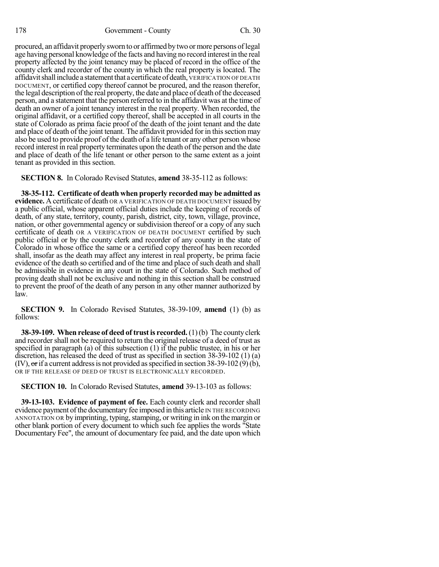procured, an affidavit properly sworn to or affirmed by two or more persons of legal age having personal knowledge of the facts and having no record interest in the real property affected by the joint tenancy may be placed of record in the office of the county clerk and recorder of the county in which the real property is located. The affidavit shall include a statement that a certificate of death, VERIFICATION OF DEATH DOCUMENT, or certified copy thereof cannot be procured, and the reason therefor, the legal description of the real property, the date and place of death of the deceased person, and a statement that the person referred to in the affidavit was at the time of death an owner of a joint tenancy interest in the real property. When recorded, the original affidavit, or a certified copy thereof, shall be accepted in all courts in the state of Colorado as prima facie proof of the death of the joint tenant and the date and place of death of the joint tenant. The affidavit provided for in this section may also be used to provide proof of the death of a life tenant or any other person whose record interest in real property terminates upon the death of the person and the date and place of death of the life tenant or other person to the same extent as a joint tenant as provided in this section.

**SECTION 8.** In Colorado Revised Statutes, **amend** 38-35-112 as follows:

**38-35-112. Certificate of death when properly recorded may be admitted as evidence.** A certificate of death OR A VERIFICATION OF DEATH DOCUMENT issued by a public official, whose apparent official duties include the keeping of records of death, of any state, territory, county, parish, district, city, town, village, province, nation, or other governmental agency or subdivision thereof or a copy of any such certificate of death OR A VERIFICATION OF DEATH DOCUMENT certified by such public official or by the county clerk and recorder of any county in the state of Colorado in whose office the same or a certified copy thereof has been recorded shall, insofar as the death may affect any interest in real property, be prima facie evidence of the death so certified and of the time and place of such death and shall be admissible in evidence in any court in the state of Colorado. Such method of proving death shall not be exclusive and nothing in this section shall be construed to prevent the proof of the death of any person in any other manner authorized by law.

**SECTION 9.** In Colorado Revised Statutes, 38-39-109, **amend** (1) (b) as follows:

**38-39-109. When release of deed of trustis recorded.**(1)(b) The county clerk and recorder shall not be required to return the original release of a deed of trust as specified in paragraph (a) of this subsection (1) if the public trustee, in his or her discretion, has released the deed of trust as specified in section 38-39-102 (1) (a) (IV),  $\sigma$  if a current address is not provided as specified in section 38-39-102 (9)(b), OR IF THE RELEASE OF DEED OF TRUST IS ELECTRONICALLY RECORDED.

**SECTION 10.** In Colorado Revised Statutes, **amend** 39-13-103 as follows:

**39-13-103. Evidence of payment of fee.** Each county clerk and recorder shall evidence payment of the documentary fee imposed in this article IN THE RECORDING ANNOTATION OR by imprinting, typing, stamping, or writing in ink on the margin or other blank portion of every document to which such fee applies the words "State Documentary Fee", the amount of documentary fee paid, and the date upon which